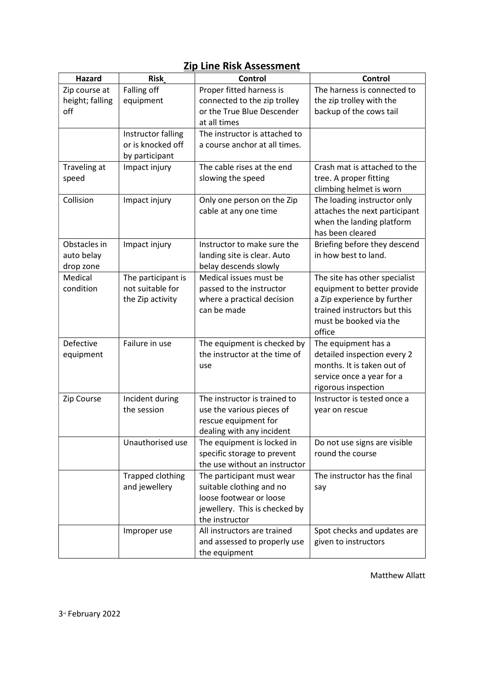| <b>Hazard</b>   | <b>Risk</b>             | Control                       | <b>Control</b>                |
|-----------------|-------------------------|-------------------------------|-------------------------------|
| Zip course at   | Falling off             | Proper fitted harness is      | The harness is connected to   |
| height; falling | equipment               | connected to the zip trolley  | the zip trolley with the      |
| off             |                         | or the True Blue Descender    | backup of the cows tail       |
|                 |                         | at all times                  |                               |
|                 | Instructor falling      | The instructor is attached to |                               |
|                 | or is knocked off       | a course anchor at all times. |                               |
|                 | by participant          |                               |                               |
| Traveling at    | Impact injury           | The cable rises at the end    | Crash mat is attached to the  |
| speed           |                         | slowing the speed             | tree. A proper fitting        |
|                 |                         |                               | climbing helmet is worn       |
| Collision       | Impact injury           | Only one person on the Zip    | The loading instructor only   |
|                 |                         | cable at any one time         | attaches the next participant |
|                 |                         |                               | when the landing platform     |
|                 |                         |                               | has been cleared              |
| Obstacles in    | Impact injury           | Instructor to make sure the   | Briefing before they descend  |
| auto belay      |                         | landing site is clear. Auto   | in how best to land.          |
| drop zone       |                         | belay descends slowly         |                               |
| Medical         | The participant is      | Medical issues must be        | The site has other specialist |
| condition       | not suitable for        | passed to the instructor      | equipment to better provide   |
|                 | the Zip activity        | where a practical decision    | a Zip experience by further   |
|                 |                         | can be made                   | trained instructors but this  |
|                 |                         |                               | must be booked via the        |
|                 |                         |                               | office                        |
| Defective       | Failure in use          | The equipment is checked by   | The equipment has a           |
| equipment       |                         | the instructor at the time of | detailed inspection every 2   |
|                 |                         | use                           | months. It is taken out of    |
|                 |                         |                               | service once a year for a     |
|                 |                         |                               | rigorous inspection           |
| Zip Course      | Incident during         | The instructor is trained to  | Instructor is tested once a   |
|                 | the session             | use the various pieces of     | year on rescue                |
|                 |                         | rescue equipment for          |                               |
|                 |                         | dealing with any incident     |                               |
|                 | Unauthorised use        | The equipment is locked in    | Do not use signs are visible  |
|                 |                         | specific storage to prevent   | round the course              |
|                 |                         | the use without an instructor |                               |
|                 | <b>Trapped clothing</b> | The participant must wear     | The instructor has the final  |
|                 | and jewellery           | suitable clothing and no      | say                           |
|                 |                         | loose footwear or loose       |                               |
|                 |                         | jewellery. This is checked by |                               |
|                 |                         | the instructor                |                               |
|                 | Improper use            | All instructors are trained   | Spot checks and updates are   |
|                 |                         | and assessed to properly use  | given to instructors          |
|                 |                         | the equipment                 |                               |

## Zip Line Risk Assessment

Matthew Allatt